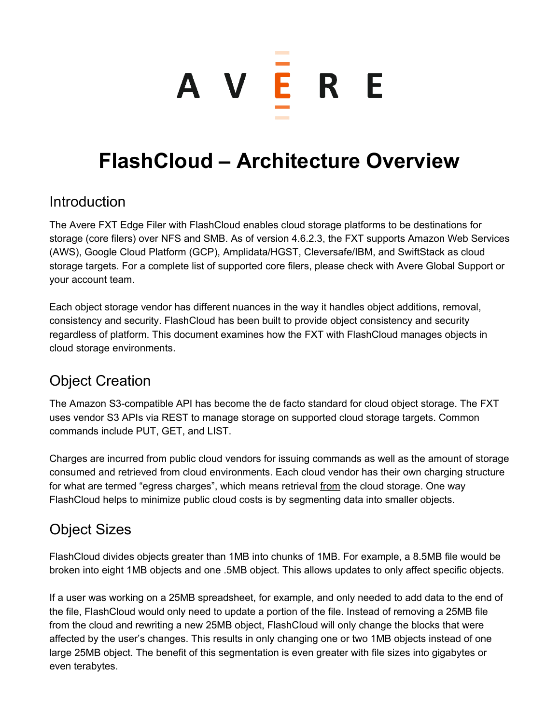# A V <mark>E</mark> R E

## **FlashCloud – Architecture Overview**

#### Introduction

The Avere FXT Edge Filer with FlashCloud enables cloud storage platforms to be destinations for storage (core filers) over NFS and SMB. As of version 4.6.2.3, the FXT supports Amazon Web Services (AWS), Google Cloud Platform (GCP), Amplidata/HGST, Cleversafe/IBM, and SwiftStack as cloud storage targets. For a complete list of supported core filers, please check with Avere Global Support or your account team.

Each object storage vendor has different nuances in the way it handles object additions, removal, consistency and security. FlashCloud has been built to provide object consistency and security regardless of platform. This document examines how the FXT with FlashCloud manages objects in cloud storage environments.

## Object Creation

The Amazon S3compatible API has become the de facto standard for cloud object storage. The FXT uses vendor S3 APIs via REST to manage storage on supported cloud storage targets. Common commands include PUT, GET, and LIST.

Charges are incurred from public cloud vendors for issuing commands as well as the amount of storage consumed and retrieved from cloud environments. Each cloud vendor has their own charging structure for what are termed "egress charges", which means retrieval from the cloud storage. One way FlashCloud helps to minimize public cloud costs is by segmenting data into smaller objects.

## Object Sizes

FlashCloud divides objects greater than 1MB into chunks of 1MB. For example, a 8.5MB file would be broken into eight 1MB objects and one .5MB object. This allows updates to only affect specific objects.

If a user was working on a 25MB spreadsheet, for example, and only needed to add data to the end of the file, FlashCloud would only need to update a portion of the file. Instead of removing a 25MB file from the cloud and rewriting a new 25MB object, FlashCloud will only change the blocks that were affected by the user's changes. This results in only changing one or two 1MB objects instead of one large 25MB object. The benefit of this segmentation is even greater with file sizes into gigabytes or even terabytes.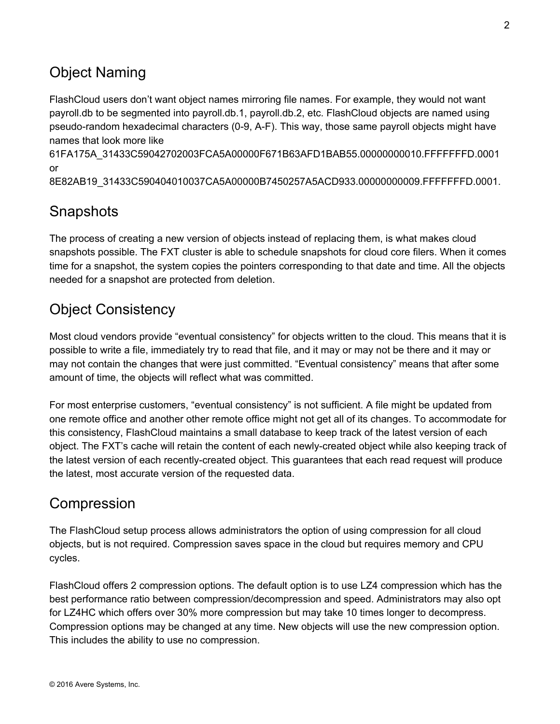## Object Naming

FlashCloud users don't want object names mirroring file names. For example, they would not want payroll.db to be segmented into payroll.db.1, payroll.db.2, etc. FlashCloud objects are named using pseudo-random hexadecimal characters (0-9, A-F). This way, those same payroll objects might have names that look more like

61FA175A\_31433C59042702003FCA5A00000F671B63AFD1BAB55.00000000010.FFFFFFFD.0001 or

8E82AB19\_31433C590404010037CA5A00000B7450257A5ACD933.00000000009.FFFFFFFD.0001.

## **Snapshots**

The process of creating a new version of objects instead of replacing them, is what makes cloud snapshots possible. The FXT cluster is able to schedule snapshots for cloud core filers. When it comes time for a snapshot, the system copies the pointers corresponding to that date and time. All the objects needed for a snapshot are protected from deletion.

## Object Consistency

Most cloud vendors provide "eventual consistency" for objects written to the cloud. This means that it is possible to write a file, immediately try to read that file, and it may or may not be there and it may or may not contain the changes that were just committed. "Eventual consistency" means that after some amount of time, the objects will reflect what was committed.

For most enterprise customers, "eventual consistency" is not sufficient. A file might be updated from one remote office and another other remote office might not get all of its changes. To accommodate for this consistency, FlashCloud maintains a small database to keep track of the latest version of each object. The FXT's cache will retain the content of each newlycreated object while also keeping track of the latest version of each recently-created object. This guarantees that each read request will produce the latest, most accurate version of the requested data.

#### Compression

The FlashCloud setup process allows administrators the option of using compression for all cloud objects, but is not required. Compression saves space in the cloud but requires memory and CPU cycles.

FlashCloud offers 2 compression options. The default option is to use LZ4 compression which has the best performance ratio between compression/decompression and speed. Administrators may also opt for LZ4HC which offers over 30% more compression but may take 10 times longer to decompress. Compression options may be changed at any time. New objects will use the new compression option. This includes the ability to use no compression.